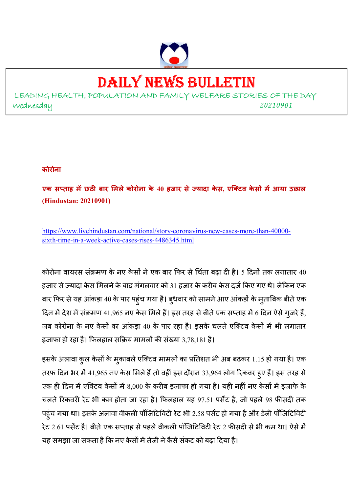

# DAILY NEWS BULLETIN

LEADING HEALTH, POPULATION AND FAMILY WELFARE STORIES OF THE DAY Wednesday *<sup>20210901</sup>*

#### **कोरोना**

**एक स ताह म
छठ बार मलेकोरोना के 40 हजार सेयादा के स, एिटव के स म
आया उछाल (Hindustan: 20210901)** 

https://www.livehindustan.com/national/story-coronavirus-new-cases-more-than-40000 sixth-time-in-a-week-active-cases-rises-4486345.html

कोरोना वायरस संक्रमण के नए केसों ने एक बार फिर से चिंता बढ़ा दी है। 5 दिनों तक लगातार 40 हजार से ज्यादा केस मिलने के बाद मंगलवार को 31 हजार के करीब केस दर्ज किए गए थे। लेकिन एक बार फिर से यह आंकड़ा 40 के पार पहुंच गया है। बुधवार को सामने आए आंकड़ों के मुताबिक बीते एक दिन में देश में संक्रमण 41,965 नए केस मिले हैं। इस तरह से बीते एक सप्ताह में 6 दिन ऐसे गुजरे हैं, जब कोरोना के नए केसों का आंकड़ा 40 के पार रहा है। इसके चलते एक्टिव केसों में भी लगातार इजाफा हो रहा है। फिलहाल सक्रिय मामलों की संख्या 3,78,181 है।

इसके अलावा कुल केसों के मुकाबले एक्टिव मामलों का प्रतिशत भी अब बढ़कर 1.15 हो गया है। एक तरफ दिन भर में 41,965 नए केस मिले हैं तो वहीं इस दौरान 33,964 लोग रिकवर हुए हैं। इस तरह से एक ही दिन में एक्टिव केसों में 8,000 के करीब इजाफा हो गया है। यही नहीं नए केसों में इजाफे के चलते रिकवरी रेट भी कम होता जा रहा है। फिलहाल यह 97.51 पर्सेंट है, जो पहले 98 फीसदी तक पहुंच गया था। इसके अलावा वीकली पॉजिटिविटी रेट भी 2.58 पर्सेंट हो गया है और डेली पॉजिटिविटी रेट 2.61 पर्सेंट है। बीते एक सप्ताह से पहले वीकली पॉजिटिविटी रेट 2 फीसदी से भी कम था। ऐसे में यह समझा जा सकता है कि नए केसों में तेजी ने कैसे संकट को बढ़ा दिया है।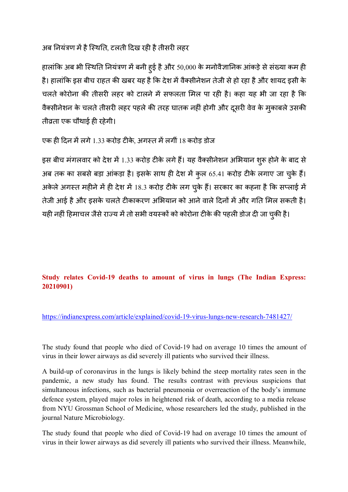अब नियंत्रण में है स्थिति, टलती दिख रही है तीसरी लहर

हालांकि अब भी स्थिति नियंत्रण में बनी हुई है और 50,000 के मनोवैज्ञानिक आंकड़े से संख्या कम ही है। हालांकि इस बीच राहत की खबर यह है कि देश में वैक्सीनेशन तेजी से हो रहा है और शायद इसी के चलते कोरोना की तीसरी लहर को टालने में सफलता मिल पा रही है। कहा यह भी जा रहा है कि वैक्सीनेशन के चलते तीसरी लहर पहले की तरह घातक नहीं होगी और दूसरी वेव के मुकाबले उसकी तीव्रता एक चौथाई ही रहेगी।

एक ही दिन में लगे 1.33 करोड़ टीके, अगस्त में लगीं 18 करोड़ डोज

इस बीच मंगलवार को देश में 1.33 करोड़ टीके लगे हैं। यह वैक्सीनेशन अभियान शुरू होने के बाद से अब तक का सबसे बड़ा आंकड़ा है। इसके साथ ही देश में कुल 65.41 करोड़ टीके लगाए जा चुके हैं। अकेले अगस्त महीने में ही देश में 18.3 करोड़ टीके लग चुके हैं। सरकार का कहना है कि सप्लाई में तेजी आई है और इसके चलते टीकाकरण अभियान को आने वाले दिनों में और गति मिल सकती है। यही नहीं हिमाचल जैसे राज्य में तो सभी वयस्कों को कोरोना टीके की पहली डोज दी जा चुकी है।

## **Study relates Covid-19 deaths to amount of virus in lungs (The Indian Express: 20210901)**

https://indianexpress.com/article/explained/covid-19-virus-lungs-new-research-7481427/

The study found that people who died of Covid-19 had on average 10 times the amount of virus in their lower airways as did severely ill patients who survived their illness.

A build-up of coronavirus in the lungs is likely behind the steep mortality rates seen in the pandemic, a new study has found. The results contrast with previous suspicions that simultaneous infections, such as bacterial pneumonia or overreaction of the body's immune defence system, played major roles in heightened risk of death, according to a media release from NYU Grossman School of Medicine, whose researchers led the study, published in the journal Nature Microbiology.

The study found that people who died of Covid-19 had on average 10 times the amount of virus in their lower airways as did severely ill patients who survived their illness. Meanwhile,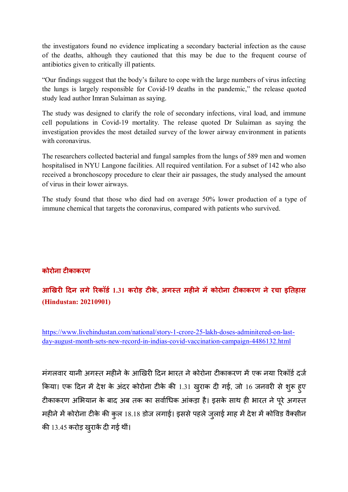the investigators found no evidence implicating a secondary bacterial infection as the cause of the deaths, although they cautioned that this may be due to the frequent course of antibiotics given to critically ill patients.

"Our findings suggest that the body's failure to cope with the large numbers of virus infecting the lungs is largely responsible for Covid-19 deaths in the pandemic," the release quoted study lead author Imran Sulaiman as saying.

The study was designed to clarify the role of secondary infections, viral load, and immune cell populations in Covid-19 mortality. The release quoted Dr Sulaiman as saying the investigation provides the most detailed survey of the lower airway environment in patients with coronavirus.

The researchers collected bacterial and fungal samples from the lungs of 589 men and women hospitalised in NYU Langone facilities. All required ventilation. For a subset of 142 who also received a bronchoscopy procedure to clear their air passages, the study analysed the amount of virus in their lower airways.

The study found that those who died had on average 50% lower production of a type of immune chemical that targets the coronavirus, compared with patients who survived.

## **कोरोना ट काकरण**

# **आ"खर \$दन लगे&रकॉड) 1.31 करोड़ ट के, अग,त मह नेम
कोरोना ट काकरण ने रचा इ/तहास (Hindustan: 20210901)**

https://www.livehindustan.com/national/story-1-crore-25-lakh-doses-adminitered-on-lastday-august-month-sets-new-record-in-indias-covid-vaccination-campaign-4486132.html

मंगलवार यानी अगस्त महीने के आखिरी दिन भारत ने कोरोना टीकाकरण में एक नया रिकॉर्ड दर्ज किया। एक दिन में देश के अंदर कोरोना टीके की 1.31 खुराक दी गई, जो 16 जनवरी से शुरू हुए टीकाकरण अभियान के बाद अब तक का सर्वाधिक आंकड़ा है। इसके साथ ही भारत ने पूरे अगस्त महीने में कोरोना टीके की कुल 18.18 डोज लगाई। इससे पहले जुलाई माह में देश में कोविड वैक्सीन की 13.45 करोड़ खुराकें दी गई थीं।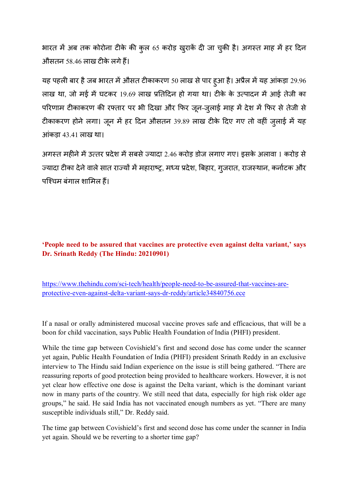भारत में अब तक कोरोना टीके की कुल 65 करोड़ खुराकें दी जा चुकी है। अगस्त माह में हर दिन औसतन 58.46 लाख टीके लगे हैं।

यह पहली बार है जब भारत में औसत टीकाकरण 50 लाख से पार हुआ है। अप्रैल में यह आंकड़ा 29.96 लाख था, जो मई में घटकर 19.69 लाख प्रतिदिन हो गया था। टीके के उत्पादन में आई तेजी का परिणाम टीकाकरण की रफ्तार पर भी दिखा और फिर जून-जुलाई माह में देश में फिर से तेजी से टीकाकरण होने लगा। जून में हर दिन औसतन 39.89 लाख टीके दिए गए तो वहीं जुलाई में यह आंकड़ा 43.41 लाख था।

अगस्त महीने में उत्तर प्रदेश में सबसे ज्यादा 2.46 करोड़ डोज लगाए गए। इसके अलावा 1 करोड़ से ज्यादा टीका देने वाले सात राज्यों में महाराष्ट्र, मध्य प्रदेश, बिहार, गुजरात, राजस्थान, कर्नाटक और पश्चिम बंगाल शामिल हैं।

## **'People need to be assured that vaccines are protective even against delta variant,' says Dr. Srinath Reddy (The Hindu: 20210901)**

https://www.thehindu.com/sci-tech/health/people-need-to-be-assured-that-vaccines-areprotective-even-against-delta-variant-says-dr-reddy/article34840756.ece

If a nasal or orally administered mucosal vaccine proves safe and efficacious, that will be a boon for child vaccination, says Public Health Foundation of India (PHFI) president.

While the time gap between Covishield's first and second dose has come under the scanner yet again, Public Health Foundation of India (PHFI) president Srinath Reddy in an exclusive interview to The Hindu said Indian experience on the issue is still being gathered. "There are reassuring reports of good protection being provided to healthcare workers. However, it is not yet clear how effective one dose is against the Delta variant, which is the dominant variant now in many parts of the country. We still need that data, especially for high risk older age groups," he said. He said India has not vaccinated enough numbers as yet. "There are many susceptible individuals still," Dr. Reddy said.

The time gap between Covishield's first and second dose has come under the scanner in India yet again. Should we be reverting to a shorter time gap?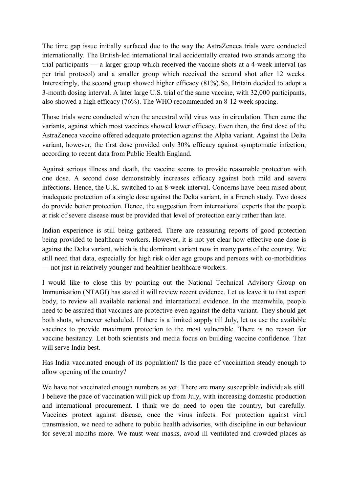The time gap issue initially surfaced due to the way the AstraZeneca trials were conducted internationally. The British-led international trial accidentally created two strands among the trial participants — a larger group which received the vaccine shots at a 4-week interval (as per trial protocol) and a smaller group which received the second shot after 12 weeks. Interestingly, the second group showed higher efficacy (81%).So, Britain decided to adopt a 3-month dosing interval. A later large U.S. trial of the same vaccine, with 32,000 participants, also showed a high efficacy (76%). The WHO recommended an 8-12 week spacing.

Those trials were conducted when the ancestral wild virus was in circulation. Then came the variants, against which most vaccines showed lower efficacy. Even then, the first dose of the AstraZeneca vaccine offered adequate protection against the Alpha variant. Against the Delta variant, however, the first dose provided only 30% efficacy against symptomatic infection, according to recent data from Public Health England.

Against serious illness and death, the vaccine seems to provide reasonable protection with one dose. A second dose demonstrably increases efficacy against both mild and severe infections. Hence, the U.K. switched to an 8-week interval. Concerns have been raised about inadequate protection of a single dose against the Delta variant, in a French study. Two doses do provide better protection. Hence, the suggestion from international experts that the people at risk of severe disease must be provided that level of protection early rather than late.

Indian experience is still being gathered. There are reassuring reports of good protection being provided to healthcare workers. However, it is not yet clear how effective one dose is against the Delta variant, which is the dominant variant now in many parts of the country. We still need that data, especially for high risk older age groups and persons with co-morbidities — not just in relatively younger and healthier healthcare workers.

I would like to close this by pointing out the National Technical Advisory Group on Immunisation (NTAGI) has stated it will review recent evidence. Let us leave it to that expert body, to review all available national and international evidence. In the meanwhile, people need to be assured that vaccines are protective even against the delta variant. They should get both shots, whenever scheduled. If there is a limited supply till July, let us use the available vaccines to provide maximum protection to the most vulnerable. There is no reason for vaccine hesitancy. Let both scientists and media focus on building vaccine confidence. That will serve India best.

Has India vaccinated enough of its population? Is the pace of vaccination steady enough to allow opening of the country?

We have not vaccinated enough numbers as yet. There are many susceptible individuals still. I believe the pace of vaccination will pick up from July, with increasing domestic production and international procurement. I think we do need to open the country, but carefully. Vaccines protect against disease, once the virus infects. For protection against viral transmission, we need to adhere to public health advisories, with discipline in our behaviour for several months more. We must wear masks, avoid ill ventilated and crowded places as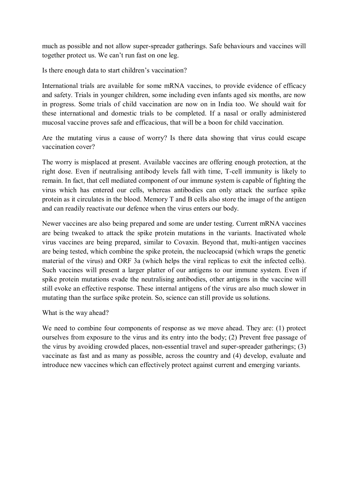much as possible and not allow super-spreader gatherings. Safe behaviours and vaccines will together protect us. We can't run fast on one leg.

Is there enough data to start children's vaccination?

International trials are available for some mRNA vaccines, to provide evidence of efficacy and safety. Trials in younger children, some including even infants aged six months, are now in progress. Some trials of child vaccination are now on in India too. We should wait for these international and domestic trials to be completed. If a nasal or orally administered mucosal vaccine proves safe and efficacious, that will be a boon for child vaccination.

Are the mutating virus a cause of worry? Is there data showing that virus could escape vaccination cover?

The worry is misplaced at present. Available vaccines are offering enough protection, at the right dose. Even if neutralising antibody levels fall with time, T-cell immunity is likely to remain. In fact, that cell mediated component of our immune system is capable of fighting the virus which has entered our cells, whereas antibodies can only attack the surface spike protein as it circulates in the blood. Memory T and B cells also store the image of the antigen and can readily reactivate our defence when the virus enters our body.

Newer vaccines are also being prepared and some are under testing. Current mRNA vaccines are being tweaked to attack the spike protein mutations in the variants. Inactivated whole virus vaccines are being prepared, similar to Covaxin. Beyond that, multi-antigen vaccines are being tested, which combine the spike protein, the nucleocapsid (which wraps the genetic material of the virus) and ORF 3a (which helps the viral replicas to exit the infected cells). Such vaccines will present a larger platter of our antigens to our immune system. Even if spike protein mutations evade the neutralising antibodies, other antigens in the vaccine will still evoke an effective response. These internal antigens of the virus are also much slower in mutating than the surface spike protein. So, science can still provide us solutions.

What is the way ahead?

We need to combine four components of response as we move ahead. They are: (1) protect ourselves from exposure to the virus and its entry into the body; (2) Prevent free passage of the virus by avoiding crowded places, non-essential travel and super-spreader gatherings; (3) vaccinate as fast and as many as possible, across the country and (4) develop, evaluate and introduce new vaccines which can effectively protect against current and emerging variants.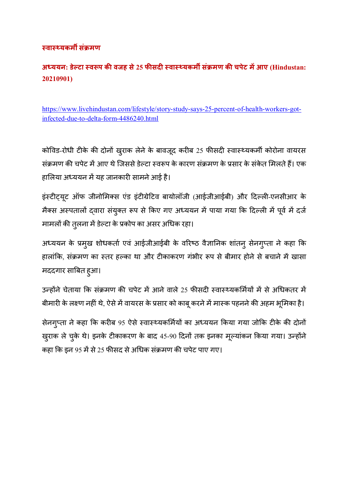## **,वा,0यकम1 सं3मण**

# **अ4ययन: डे5टा ,व6प क8 वजह से 25 फ8सद ,वा,0यकम1 सं3मण क8 चपेट म
आए (Hindustan: 20210901)**

https://www.livehindustan.com/lifestyle/story-study-says-25-percent-of-health-workers-gotinfected-due-to-delta-form-4486240.html

कोविड-रोधी टीके की दोनों खुराक लेने के बावजूद करीब 25 फीसदी स्वास्थ्यकर्मी कोरोना वायरस संक्रमण की चपेट में आए थे जिससे डेल्टा स्वरूप के कारण संक्रमण के प्रसार के संकेत मिलते हैं। एक हालिया अध्ययन में यह जानकारी सामने आई है।

इंस्टीट्यूट ऑफ जीनोमिक्स एंड इंटीग्रेटिव बायोलॉजी (आईजीआईबी) और दिल्ली-एनसीआर के मैक्स अस्पतालों दवारा संयुक्त रूप से किए गए अध्ययन में पाया गया कि दिल्ली में पूर्व में दर्ज मामलों की तुलना में डेल्टा के प्रकोप का असर अधिक रहा।

अध्ययन के प्रमुख शोधकर्ता एवं आईजीआईबी के वरिष्ठ वैज्ञानिक शांतनु सेनगुप्ता ने कहा कि हालांकि, संक्रमण का स्तर हल्का था और टीकाकरण गंभीर रूप से बीमार होने से बचाने में खासा मददगार साबित हुआ।

उन्होंने चेताया कि संक्रमण की चपेट में आने वाले 25 फीसदी स्वास्थ्यकर्मियों में से अधिकतर में बीमारी के लक्ष्ण नहीं थे, ऐसे में वायरस के प्रसार को काबू करने में मास्क पहनने की अहम भूमिका है।

सेनगुप्ता ने कहा कि करीब 95 ऐसे स्वास्थ्यकर्मियों का अध्ययन किया गया जोकि टीके की दोनों खुराक ले चुके थे। इनके टीकाकरण के बाद 45-90 दिनों तक इनका मूल्यांकन किया गया। उन्होंने कहा कि इन 95 में से 25 फीसद से अधिक संक्रमण की चपेट पाए गए।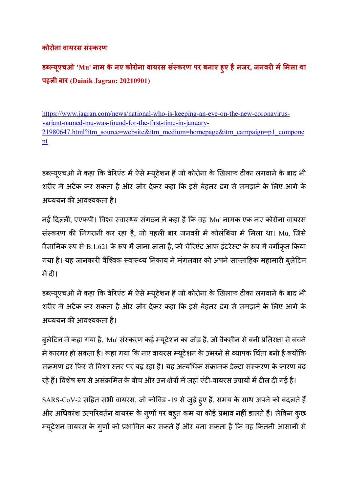## **कोरोना वायरस सं,करण**

**ड:5यूएचओ 'Mu' नाम के नए कोरोना वायरस सं,करण पर बनाए हुए हैनजर, जनवर म
मला था पहली बार** (Dainik Jagran: 20210901)

https://www.jagran.com/news/national-who-is-keeping-an-eye-on-the-new-coronavirusvariant-named-mu-was-found-for-the-first-time-in-january-21980647.html?itm\_source=website&itm\_medium=homepage&itm\_campaign=p1\_compone nt

डब्ल्यूएचओ ने कहा कि वेरिएंट में ऐसे म्यूटेशन हैं जो कोरोना के खिलाफ टीका लगवाने के बाद भी शरीर में अटैक कर सकता है और जोर देकर कहा कि इसे बेहतर ढंग से समझने के लिए आगे के अध्ययन की आवश्यकता है।

नई दिल्ली, एएफपी। विश्व स्वास्थ्य संगठन ने कहा है कि वह 'Mu' नामक एक नए कोरोना वायरस संस्करण की निगरानी कर रहा है, जो पहली बार जनवरी में कोलंबिया में मिला था। Mu, जिसे वैज्ञानिक रूप से B.1.621 के रूप में जाना जाता है, को 'वेरिएंट आफ इंटरेस्ट' के रूप में वर्गीकृत किया गया है। यह जानकारी वैश्विक स्वास्थ्य निकाय ने मंगलवार को अपने साप्ताहिक महामारी बुलेटिन में दी।

डब्ल्यूएचओ ने कहा कि वेरिएंट में ऐसे म्यूटेशन हैं जो कोरोना के खिलाफ टीका लगवाने के बाद भी शरीर में अटैक कर सकता है और जोर देकर कहा कि इसे बेहतर ढंग से समझने के लिए आगे के अध्ययन की आवश्यकता है।

बुलेटिन में कहा गया है, 'Mu' संस्करण कई म्यूटेशन का जोड़ है, जो वैक्सीन से बनी प्रतिरक्षा से बचने में कारगर हो सकता है। कहा गया कि नए वायरस म्यूटेशन के उभरने से व्यापक चिंता बनी है क्योंकि संक्रमण दर फिर से विश्व स्तर पर बढ़ रहा है। यह अत्यधिक संक्रामक डेल्टा संस्करण के कारण बढ

रहे हैं। विशेष रूप से असंक्रमित के बीच और उन क्षेत्रों में जहां एंटी-वायरस उपायों में ढील दी गई है।

 $SARS\text{-}CoV\text{-}2$  सहित सभी वायरस, जो कोविड -19 से जुड़े ह्ए हैं, समय के साथ अपने को बदलते हैं और अधिकांश उत्परिवर्तन वायरस के गुणों पर बहुत कम या कोई प्रभाव नहीं डालते हैं। लेकिन कुछ म्यूटेशन वायरस के गुणों को प्रभावित कर सकते हैं और बता सकता है कि वह कितनी आसानी से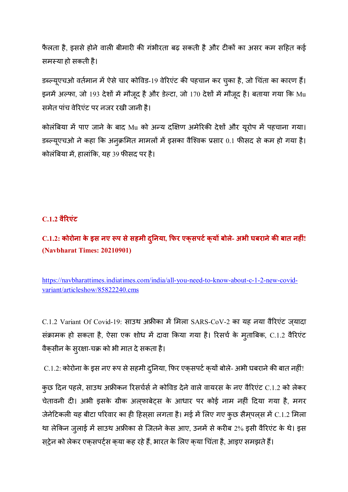फैलता है, इससे होने वाली बीमारी की गंभीरता बढ़ सकती है और टीकों का असर कम सहित कई समस्या हो सकती है।

डब्ल्यूएचओ वर्तमान में ऐसे चार कोविड-19 वेरिएंट की पहचान कर चुका है, जो चिंता का कारण हैं। इनमें अल्फा, जो 193 देशों में मौजूद है और डेल्टा, जो 170 देशों में मौजूद है। बताया गया कि Mu समेत पांच वेरिएंट पर नजर रखी जानी है।

कोलंबिया में पाए जाने के बाद Mu को अन्य दक्षिण अमेरिकी देशों और यूरोप में पहचाना गया। डब्ल्यूएचओ ने कहा कि अनुक्रमित मामलों में इसका वैश्विक प्रसार 0.1 फीसद से कम हो गया है। कोलंबिया में, हालांकि, यह 39 फीसद पर है।

## **C.1.2 वै&रएंट**

# **C.1.2: कोरोना के इस नए 6प सेसहमी द/नया ु , Aफर एक्सपट)क्य बोले- अभी घबरानेक8 बात नह ं! (Navbharat Times: 20210901)**

https://navbharattimes.indiatimes.com/india/all-you-need-to-know-about-c-1-2-new-covidvariant/articleshow/85822240.cms

 $C.1.2$  Variant Of Covid-19: साउथ अफ्रीका में मिला SARS-CoV-2 का यह नया वैरिएंट ज्यादा संक्रामक हो सकता है, ऐसा एक शोध में दावा किया गया है। रिसर्च के मुताबिक, C.1.2 वैरिएंट वैक्सीन के सुरक्षा-चक्र को भी मात दे सकता है।

C.1.2: कोरोना के इस नए रूप से सहमी दुनिया, फिर एक्**सपर्ट क्**यों बोले- अभी घबराने की बात नहीं!

कुछ दिन पहले, साउथ अफ्रीकन रिसर्चर्स ने कोविड देने वाले वायरस के नए वैरिएंट C.1.2 को लेकर चेतावनी दी। अभी इसके ग्रीक अल्फाबेट्स के आधार पर कोई नाम नहीं दिया गया है, मगर जेनेटिकली यह बीटा परिवार का ही हिस्सा लगता है। मई में लिए गए कुछ सैम्पल्स में C.1.2 मिला था लेकिन जुलाई में साउथ अफ्रीका से जितने केस आए, उनमें से करीब 2% इसी वैरिएंट के थे। इस स्ट्रेन को लेकर एक्सपर्ट्स क्या कह रहे हैं, भारत के लिए क्या चिंता है, आइए समझते हैं।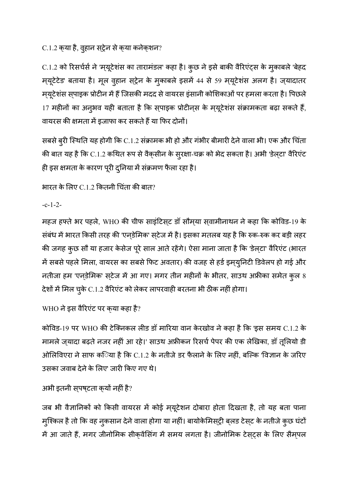C.1.2 क्या है, वुहान स्ट्रेन से क्या कनेक्शन?

C.1.2 को रिसर्चर्स ने 'म्यूटेशंस का तारामंडल' कहा है। कुछ ने इसे बाकी वैरिएंट्स के मुकाबले 'बेहद म्यूटेटेड' बताया है। मूल वुहान स्ट्रेन के मुकाबले इसमें 44 से 59 म्यूटेशंस अलग है। ज्यादातर मयूटेशंस स्पाइक प्रोटीन में हैं जिसकी मदद से वायरस इंसानी कोशिकाओं पर हमला करता है। पिछले 17 महीनों का अनुभव यही बताता है कि स्पाइक प्रोटीन्स के म्यूटेशंस संक्रामकता बढ़ा सकते हैं, वायरस की क्षमता में इजाफा कर सकते हैं या फिर दोनों।

सबसे बुरी स्थिति यह होगी कि C.1.2 संक्रामक भी हो और गंभीर बीमारी देने वाला भी। एक और चिंता की बात यह है कि C.1.2 कथित रूप से वैक्सीन के सुरक्षा-चक्र को भेद सकता है। अभी 'डेल्टा' वैरिएंट ही इस क्षमता के कारण पूरी दुनिया में संक्रमण फैला रहा है।

भारत के लिए C.1.2 कितनी चिंता की बात?

-c-1-2-

महज हफ्ते भर पहले, WHO की चीफ साइंटिसट डॉ सौमया सवामीनाथन ने कहा कि कोविड-19 के संबंध में भारत किसी तरह की 'एनडेमिक' स्टेज में है। इसका मतलब यह है कि रुक-रुक कर बड़ी लहर की जगह कुछ सौ या हजार केसेज पूरे साल आते रहेंगे। ऐसा माना जाता है कि 'डेल्टा' वैरिएंट (भारत में सबसे पहले मिला, वायरस का सबसे फिट अवतार) की वजह से हर्ड इम्युनिटी डिवेलप हो गई और नतीजा हम 'एनडेमिक' स्टेज में आ गए। मगर तीन महीनों के भीतर, साउथ अफ्रीका समेत कुल 8 देशों में मिल चुके C.1.2 वैरिएंट को लेकर लापरवाही बरतना भी ठीक नहीं होगा।

WHO ने इस वैरिएंट पर क्**या कहा है**?

कोविड-19 पर WHO की टेक्निकल लीड डॉ मारिया वान केरखोव ने कहा है कि 'इस समय C.1.2 के मामले ज़्यादा बढ़ते नजर नहीं आ रहे।' साउथ अफ्रीकन रिसर्च पेपर की एक लेखिका, डॉ तूलियो डी ओलिविएरा ने साफ क**िया है कि C.1.2 के नतीजे डर फैलाने के लिए** नहीं, बल्कि 'विज्ञान के जरिए उसका जवाब देने के लिए' जारी किए गए थे।

## अभी इतनी सुपष्टता क्यों नहीं है?

जब भी वैज्ञानिकों को किसी वायरस में कोई म्यूटेशन दोबारा होता दिखता है, तो यह बता पाना मुश्किल है तो कि वह नुकसान देने वाला होगा या नहीं। बायोकेमिस्ट्री ब्लड टेस्ट के नतीजे कुछ घंटों में आ जाते हैं, मगर जीनोमिक सीक्वेंसिंग में समय लगता है। जीनोमिक टेसट्स के लिए सैमपल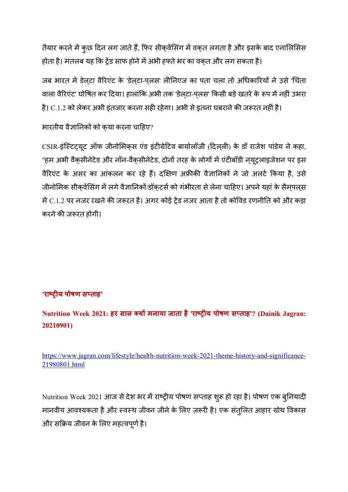तैयार करने में कुछ दिन लग जाते हैं, फिर सीक्वेंसिंग में वक्त लगता है और इसके बाद एनालिसिस होता है। मतलब यह कि ट्रेंड साफ होने में अभी हफ्ते भर का वकत और लग सकता है।

जब भारत में डेलटा वैरिएंट के 'डेलटा-पलस' लीनिएज का पता चला तो अधिकारियों ने उसे 'चिंता वाला वैरिएंट' घोषित कर दिया। हालांकि अभी तक 'डेलटा-पलस' किसी बड़े खतरे के रूप में नहीं उभरा है। C.1.2 को लेकर अभी इंतजार करना सही रहेगा। अभी से इतना घबराने की जरूरत नहीं है।

भारतीय वैज्ञानिकों को कया करना चाहिए?

CSIR-इंस्टिटयूट ऑफ जीनोमिकस एंड इंटीग्रेटिव बायोलॉजी (दिलली) के डॉ राजेश पांडेय ने कहा, "हम अभी वैकसीनेटेड और नॉन-वैकसीनेटेड, दोनों तरह के लोगों में एंटीबॉडी नयुट्रलाइजेशन पर इस वैरिएंट के असर का आंकलन कर रहे हैं। दक्षिण अफ्रीकी वैज्ञानिकों ने जो अलर्ट किया है, उसे जीनोमिक सीक्वेंसिंग में लगे वैज्ञानिकों/डॉक्टर्स को गंभीरता से लेना चाहिए। अपने यहां के सैम्पल्स में C.1.2 पर नजर रखने की जरूरत है। अगर कोई ट्रेंड नजर आता है तो कोविड रणनीति को और कड़ा करने की जरूरत होगी।

## **'राEF य पोषण स ताह'**

**Nutrition Week 2021: हर साल य मनाया जाता है 'राEF य पोषण स ताह'? (Dainik Jagran: 20210901)** 

https://www.jagran.com/lifestyle/health-nutrition-week-2021-theme-history-and-significance-21980801.html

Nutrition Week 2021 आज से देश भर में राष्ट्रीय पोषण सप्ताह शुरू हो रहा है। पोषण एक बुनियादी मानवीय आवश्यकता है और स्वस्थ जीवन जीने के लिए ज़रूरी है। एक संतुलित आहार ग्रोथ विकास और सक्रिय जीवन के लिए महत्वपूर्ण है।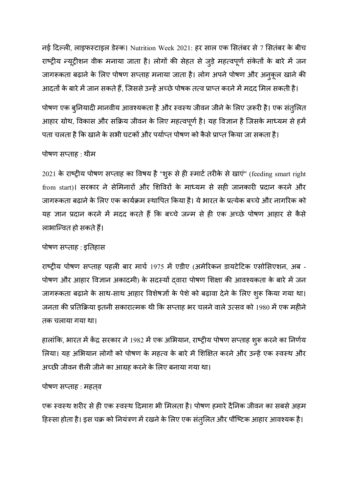नई दिल्ली, लाइफर्स्टाइल डेस्क। Nutrition Week 2021: हर साल एक सितंबर से 7 सितंबर के बीच राष्ट्रीय न्यूट्रीशन वीक मनाया जाता है। लोगों की सेहत से जुड़े महत्वपूर्ण संकेतों के बारे में जन जागरूकता बढ़ाने के लिए पोषण सप्ताह मनाया जाता है। लोग अपने पोषण और अनुकूल खाने की आदतों के बारे में जान सकते हैं, जिससे उन्हें अच्छे पोषक तत्व प्राप्त करने में मदद मिल सकती है।

पोषण एक बुनियादी मानवीय आवश्यकता है और स्वस्थ जीवन जीने के लिए ज़रूरी है। एक संतुलित आहार ग्रोथ, विकास और सक्रिय जीवन के लिए महत्वपूर्ण है। यह विज्ञान है जिसके माध्यम से हमें पता चलता है कि खाने के सभी घटकों और पर्याप्त पोषण को कैसे प्राप्त किया जा सकता है।

## पोषण सप्ताह : थीम

2021 के राष्ट्रीय पोषण सप्ताह का विषय है "शुरू से ही स्मार्ट तरीके से खाएं" (feeding smart right from start)। सरकार ने सेमिनारों और शिविरों के माध्यम से सही जानकारी प्रदान करने और जागरूकता बढ़ाने के लिए एक कार्यक्रम स्थापित किया है। ये भारत के प्रत्येक बच्चे और नागरिक को यह ज्ञान प्रदान करने में मदद करते हैं कि बच्चे जन्म से ही एक अच्छे पोषण आहार से कैसे लाभान्वित हो सकते हैं।

## पोषण सप्ताह : इतिहास

राष्ट्रीय पोषण सप्ताह पहली बार मार्च 1975 में एडीए (अमेरिकन डायटेटिक एसोसिएशन, अब -पोषण और आहार विज्ञान अकादमी) के सदस्यों दवारा पोषण शिक्षा की आवश्यकता के बारे में जन जागरूकता बढ़ाने के साथ-साथ आहार विशेषज्ञों के पेशे को बढ़ावा देने के लिए शुरू किया गया था। जनता की प्रतिक्रिया इतनी सकारात्मक थी कि सप्ताह भर चलने वाले उत्सव को 1980 में एक महीने तक चलाया गया था।

हालांकि, भारत में केंद्र सरकार ने 1982 में एक अभियान, राष्ट्रीय पोषण सप्ताह शुरू करने का निर्णय लिया। यह अभियान लोगों को पोषण के महत्व के बारे में शिक्षित करने और उन्हें एक स्वस्थ और अच्छी जीवन शैली जीने का आग्रह करने के लिए बनाया गया था।

## पोषण सप्ताह : महतव

एक स्वस्थ शरीर से ही एक स्वस्थ दिमाग़ भी मिलता है। पोषण हमारे दैनिक जीवन का सबसे अहम हिस्सा होता है। इस चक्र को नियंत्रण में रखने के लिए एक संतुलित और पौष्टिक आहार आवश्यक है।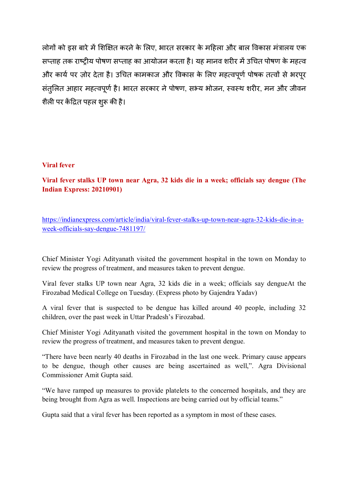लोगों को इस बारे में शिक्षित करने के लिए, भारत सरकार के महिला और बाल विकास मंत्रालय एक सप्ताह तक राष्ट्रीय पोषण सप्ताह का आयोजन करता है। यह मानव शरीर में उचित पोषण के महत्व और कार्य पर ज़ोर देता है। उचित कामकाज और विकास के लिए महत्वपूर्ण पोषक तत्वों से भरपूर संतुलित आहार महत्वपूर्ण है। भारत सरकार ने पोषण, सभ्य भोजन, स्वस्थ शरीर, मन और जीवन शैली पर केंद्रित पहल शुरू की है।

#### **Viral fever**

**Viral fever stalks UP town near Agra, 32 kids die in a week; officials say dengue (The Indian Express: 20210901)** 

https://indianexpress.com/article/india/viral-fever-stalks-up-town-near-agra-32-kids-die-in-aweek-officials-say-dengue-7481197/

Chief Minister Yogi Adityanath visited the government hospital in the town on Monday to review the progress of treatment, and measures taken to prevent dengue.

Viral fever stalks UP town near Agra, 32 kids die in a week; officials say dengueAt the Firozabad Medical College on Tuesday. (Express photo by Gajendra Yadav)

A viral fever that is suspected to be dengue has killed around 40 people, including 32 children, over the past week in Uttar Pradesh's Firozabad.

Chief Minister Yogi Adityanath visited the government hospital in the town on Monday to review the progress of treatment, and measures taken to prevent dengue.

"There have been nearly 40 deaths in Firozabad in the last one week. Primary cause appears to be dengue, though other causes are being ascertained as well,". Agra Divisional Commissioner Amit Gupta said.

"We have ramped up measures to provide platelets to the concerned hospitals, and they are being brought from Agra as well. Inspections are being carried out by official teams."

Gupta said that a viral fever has been reported as a symptom in most of these cases.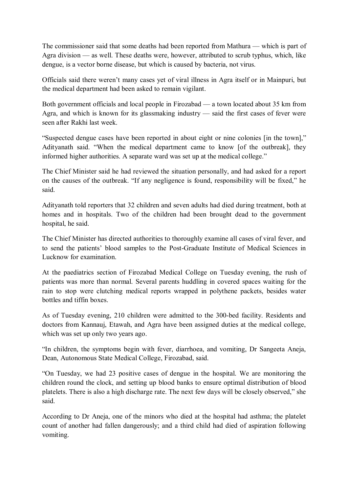The commissioner said that some deaths had been reported from Mathura — which is part of Agra division — as well. These deaths were, however, attributed to scrub typhus, which, like dengue, is a vector borne disease, but which is caused by bacteria, not virus.

Officials said there weren't many cases yet of viral illness in Agra itself or in Mainpuri, but the medical department had been asked to remain vigilant.

Both government officials and local people in Firozabad — a town located about 35 km from Agra, and which is known for its glassmaking industry — said the first cases of fever were seen after Rakhi last week.

"Suspected dengue cases have been reported in about eight or nine colonies [in the town]," Adityanath said. "When the medical department came to know [of the outbreak], they informed higher authorities. A separate ward was set up at the medical college."

The Chief Minister said he had reviewed the situation personally, and had asked for a report on the causes of the outbreak. "If any negligence is found, responsibility will be fixed," he said.

Adityanath told reporters that 32 children and seven adults had died during treatment, both at homes and in hospitals. Two of the children had been brought dead to the government hospital, he said.

The Chief Minister has directed authorities to thoroughly examine all cases of viral fever, and to send the patients' blood samples to the Post-Graduate Institute of Medical Sciences in Lucknow for examination.

At the paediatrics section of Firozabad Medical College on Tuesday evening, the rush of patients was more than normal. Several parents huddling in covered spaces waiting for the rain to stop were clutching medical reports wrapped in polythene packets, besides water bottles and tiffin boxes.

As of Tuesday evening, 210 children were admitted to the 300-bed facility. Residents and doctors from Kannauj, Etawah, and Agra have been assigned duties at the medical college, which was set up only two years ago.

"In children, the symptoms begin with fever, diarrhoea, and vomiting, Dr Sangeeta Aneja, Dean, Autonomous State Medical College, Firozabad, said.

"On Tuesday, we had 23 positive cases of dengue in the hospital. We are monitoring the children round the clock, and setting up blood banks to ensure optimal distribution of blood platelets. There is also a high discharge rate. The next few days will be closely observed," she said.

According to Dr Aneja, one of the minors who died at the hospital had asthma; the platelet count of another had fallen dangerously; and a third child had died of aspiration following vomiting.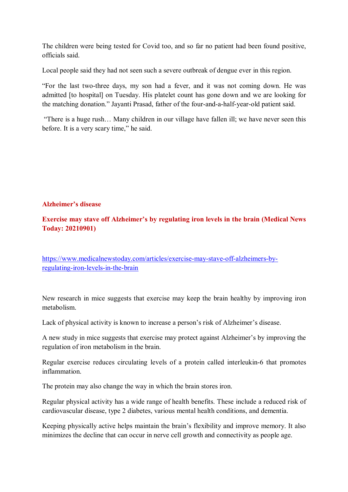The children were being tested for Covid too, and so far no patient had been found positive, officials said.

Local people said they had not seen such a severe outbreak of dengue ever in this region.

"For the last two-three days, my son had a fever, and it was not coming down. He was admitted [to hospital] on Tuesday. His platelet count has gone down and we are looking for the matching donation." Jayanti Prasad, father of the four-and-a-half-year-old patient said.

 "There is a huge rush… Many children in our village have fallen ill; we have never seen this before. It is a very scary time," he said.

#### **Alzheimer's disease**

## **Exercise may stave off Alzheimer's by regulating iron levels in the brain (Medical News Today: 20210901)**

https://www.medicalnewstoday.com/articles/exercise-may-stave-off-alzheimers-byregulating-iron-levels-in-the-brain

New research in mice suggests that exercise may keep the brain healthy by improving iron metabolism.

Lack of physical activity is known to increase a person's risk of Alzheimer's disease.

A new study in mice suggests that exercise may protect against Alzheimer's by improving the regulation of iron metabolism in the brain.

Regular exercise reduces circulating levels of a protein called interleukin-6 that promotes inflammation.

The protein may also change the way in which the brain stores iron.

Regular physical activity has a wide range of health benefits. These include a reduced risk of cardiovascular disease, type 2 diabetes, various mental health conditions, and dementia.

Keeping physically active helps maintain the brain's flexibility and improve memory. It also minimizes the decline that can occur in nerve cell growth and connectivity as people age.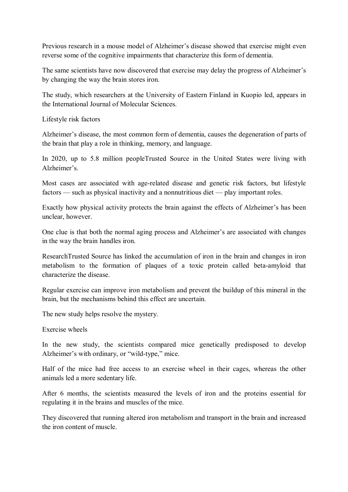Previous research in a mouse model of Alzheimer's disease showed that exercise might even reverse some of the cognitive impairments that characterize this form of dementia.

The same scientists have now discovered that exercise may delay the progress of Alzheimer's by changing the way the brain stores iron.

The study, which researchers at the University of Eastern Finland in Kuopio led, appears in the International Journal of Molecular Sciences.

Lifestyle risk factors

Alzheimer's disease, the most common form of dementia, causes the degeneration of parts of the brain that play a role in thinking, memory, and language.

In 2020, up to 5.8 million peopleTrusted Source in the United States were living with Alzheimer's.

Most cases are associated with age-related disease and genetic risk factors, but lifestyle factors — such as physical inactivity and a nonnutritious diet — play important roles.

Exactly how physical activity protects the brain against the effects of Alzheimer's has been unclear, however.

One clue is that both the normal aging process and Alzheimer's are associated with changes in the way the brain handles iron.

ResearchTrusted Source has linked the accumulation of iron in the brain and changes in iron metabolism to the formation of plaques of a toxic protein called beta-amyloid that characterize the disease.

Regular exercise can improve iron metabolism and prevent the buildup of this mineral in the brain, but the mechanisms behind this effect are uncertain.

The new study helps resolve the mystery.

Exercise wheels

In the new study, the scientists compared mice genetically predisposed to develop Alzheimer's with ordinary, or "wild-type," mice.

Half of the mice had free access to an exercise wheel in their cages, whereas the other animals led a more sedentary life.

After 6 months, the scientists measured the levels of iron and the proteins essential for regulating it in the brains and muscles of the mice.

They discovered that running altered iron metabolism and transport in the brain and increased the iron content of muscle.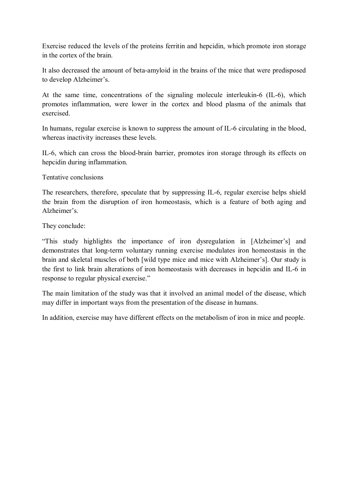Exercise reduced the levels of the proteins ferritin and hepcidin, which promote iron storage in the cortex of the brain.

It also decreased the amount of beta-amyloid in the brains of the mice that were predisposed to develop Alzheimer's.

At the same time, concentrations of the signaling molecule interleukin-6 (IL-6), which promotes inflammation, were lower in the cortex and blood plasma of the animals that exercised.

In humans, regular exercise is known to suppress the amount of IL-6 circulating in the blood, whereas inactivity increases these levels.

IL-6, which can cross the blood-brain barrier, promotes iron storage through its effects on hepcidin during inflammation.

Tentative conclusions

The researchers, therefore, speculate that by suppressing IL-6, regular exercise helps shield the brain from the disruption of iron homeostasis, which is a feature of both aging and Alzheimer's.

They conclude:

"This study highlights the importance of iron dysregulation in [Alzheimer's] and demonstrates that long-term voluntary running exercise modulates iron homeostasis in the brain and skeletal muscles of both [wild type mice and mice with Alzheimer's]. Our study is the first to link brain alterations of iron homeostasis with decreases in hepcidin and IL-6 in response to regular physical exercise."

The main limitation of the study was that it involved an animal model of the disease, which may differ in important ways from the presentation of the disease in humans.

In addition, exercise may have different effects on the metabolism of iron in mice and people.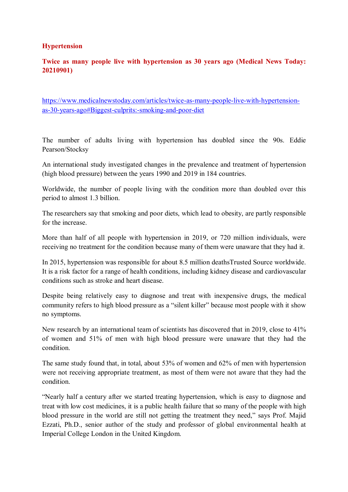#### **Hypertension**

## **Twice as many people live with hypertension as 30 years ago (Medical News Today: 20210901)**

https://www.medicalnewstoday.com/articles/twice-as-many-people-live-with-hypertensionas-30-years-ago#Biggest-culprits:-smoking-and-poor-diet

The number of adults living with hypertension has doubled since the 90s. Eddie Pearson/Stocksy

An international study investigated changes in the prevalence and treatment of hypertension (high blood pressure) between the years 1990 and 2019 in 184 countries.

Worldwide, the number of people living with the condition more than doubled over this period to almost 1.3 billion.

The researchers say that smoking and poor diets, which lead to obesity, are partly responsible for the increase.

More than half of all people with hypertension in 2019, or 720 million individuals, were receiving no treatment for the condition because many of them were unaware that they had it.

In 2015, hypertension was responsible for about 8.5 million deathsTrusted Source worldwide. It is a risk factor for a range of health conditions, including kidney disease and cardiovascular conditions such as stroke and heart disease.

Despite being relatively easy to diagnose and treat with inexpensive drugs, the medical community refers to high blood pressure as a "silent killer" because most people with it show no symptoms.

New research by an international team of scientists has discovered that in 2019, close to 41% of women and 51% of men with high blood pressure were unaware that they had the condition.

The same study found that, in total, about 53% of women and 62% of men with hypertension were not receiving appropriate treatment, as most of them were not aware that they had the condition.

"Nearly half a century after we started treating hypertension, which is easy to diagnose and treat with low cost medicines, it is a public health failure that so many of the people with high blood pressure in the world are still not getting the treatment they need," says Prof. Majid Ezzati, Ph.D., senior author of the study and professor of global environmental health at Imperial College London in the United Kingdom.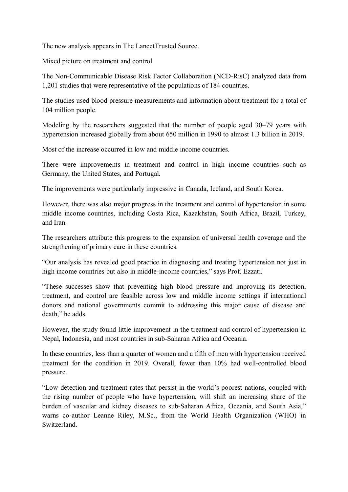The new analysis appears in The LancetTrusted Source.

Mixed picture on treatment and control

The Non-Communicable Disease Risk Factor Collaboration (NCD-RisC) analyzed data from 1,201 studies that were representative of the populations of 184 countries.

The studies used blood pressure measurements and information about treatment for a total of 104 million people.

Modeling by the researchers suggested that the number of people aged 30–79 years with hypertension increased globally from about 650 million in 1990 to almost 1.3 billion in 2019.

Most of the increase occurred in low and middle income countries.

There were improvements in treatment and control in high income countries such as Germany, the United States, and Portugal.

The improvements were particularly impressive in Canada, Iceland, and South Korea.

However, there was also major progress in the treatment and control of hypertension in some middle income countries, including Costa Rica, Kazakhstan, South Africa, Brazil, Turkey, and Iran.

The researchers attribute this progress to the expansion of universal health coverage and the strengthening of primary care in these countries.

"Our analysis has revealed good practice in diagnosing and treating hypertension not just in high income countries but also in middle-income countries," says Prof. Ezzati.

"These successes show that preventing high blood pressure and improving its detection, treatment, and control are feasible across low and middle income settings if international donors and national governments commit to addressing this major cause of disease and death," he adds.

However, the study found little improvement in the treatment and control of hypertension in Nepal, Indonesia, and most countries in sub-Saharan Africa and Oceania.

In these countries, less than a quarter of women and a fifth of men with hypertension received treatment for the condition in 2019. Overall, fewer than 10% had well-controlled blood pressure.

"Low detection and treatment rates that persist in the world's poorest nations, coupled with the rising number of people who have hypertension, will shift an increasing share of the burden of vascular and kidney diseases to sub-Saharan Africa, Oceania, and South Asia," warns co-author Leanne Riley, M.Sc., from the World Health Organization (WHO) in Switzerland.